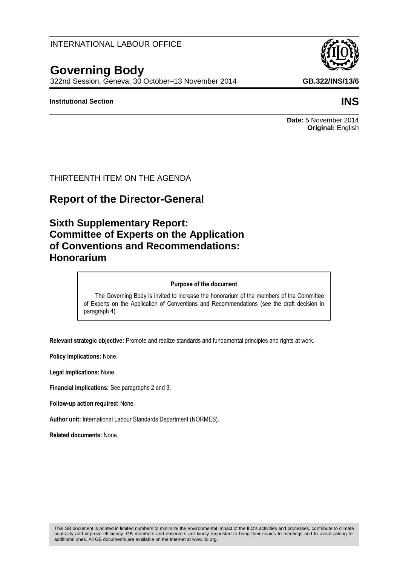## INTERNATIONAL LABOUR OFFICE

# **Governing Body**

322nd Session, Geneva, 30 October–13 November 2014 **GB.322/INS/13/6**

#### **Institutional Section INS**

**Date:** 5 November 2014 **Original:** English

## THIRTEENTH ITEM ON THE AGENDA

## **Report of the Director-General**

## **Sixth Supplementary Report: Committee of Experts on the Application of Conventions and Recommendations: Honorarium**

#### **Purpose of the document**

The Governing Body is invited to increase the honorarium of the members of the Committee of Experts on the Application of Conventions and Recommendations (see the draft decision in paragraph 4).

**Relevant strategic objective:** Promote and realize standards and fundamental principles and rights at work.

**Policy implications:** None.

**Legal implications:** None.

**Financial implications:** See paragraphs 2 and 3.

**Follow-up action required:** None.

**Author unit:** International Labour Standards Department (NORMES).

**Related documents:** None.